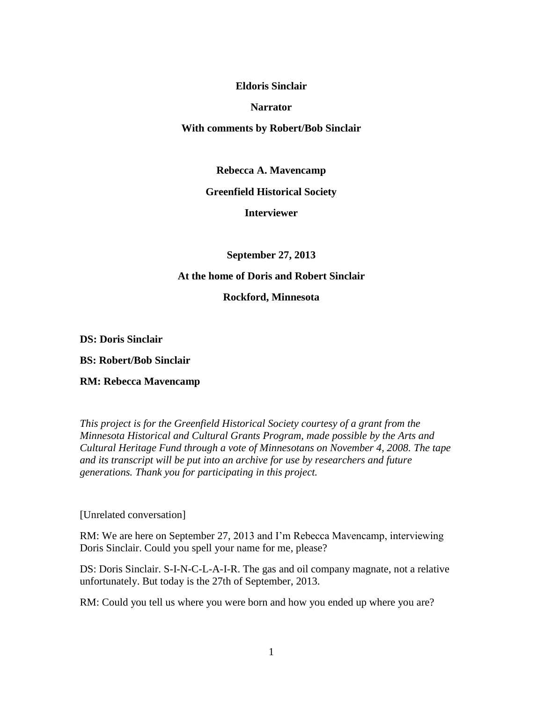#### **Eldoris Sinclair**

#### **Narrator**

## **With comments by Robert/Bob Sinclair**

**Rebecca A. Mavencamp**

## **Greenfield Historical Society**

## **Interviewer**

## **September 27, 2013**

## **At the home of Doris and Robert Sinclair**

## **Rockford, Minnesota**

**DS: Doris Sinclair**

**BS: Robert/Bob Sinclair**

#### **RM: Rebecca Mavencamp**

*This project is for the Greenfield Historical Society courtesy of a grant from the Minnesota Historical and Cultural Grants Program, made possible by the Arts and Cultural Heritage Fund through a vote of Minnesotans on November 4, 2008. The tape and its transcript will be put into an archive for use by researchers and future generations. Thank you for participating in this project.*

# [Unrelated conversation]

RM: We are here on September 27, 2013 and I'm Rebecca Mavencamp, interviewing Doris Sinclair. Could you spell your name for me, please?

DS: Doris Sinclair. S-I-N-C-L-A-I-R. The gas and oil company magnate, not a relative unfortunately. But today is the 27th of September, 2013.

RM: Could you tell us where you were born and how you ended up where you are?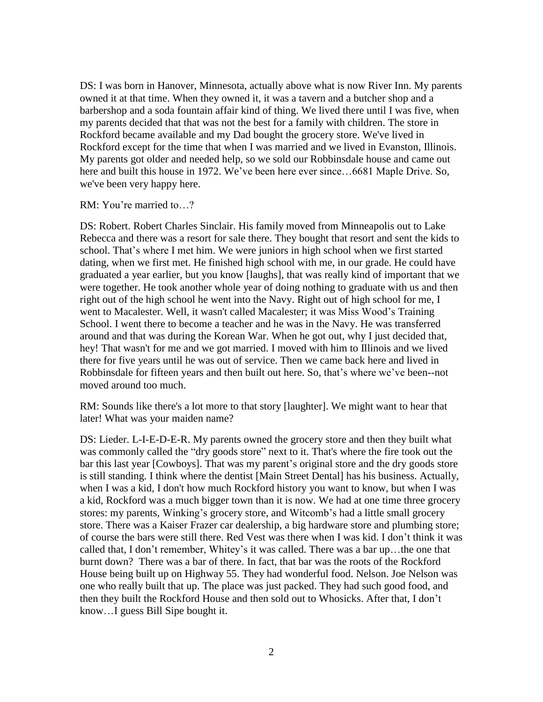DS: I was born in Hanover, Minnesota, actually above what is now River Inn. My parents owned it at that time. When they owned it, it was a tavern and a butcher shop and a barbershop and a soda fountain affair kind of thing. We lived there until I was five, when my parents decided that that was not the best for a family with children. The store in Rockford became available and my Dad bought the grocery store. We've lived in Rockford except for the time that when I was married and we lived in Evanston, Illinois. My parents got older and needed help, so we sold our Robbinsdale house and came out here and built this house in 1972. We've been here ever since...6681 Maple Drive. So, we've been very happy here.

RM: You're married to…?

DS: Robert. Robert Charles Sinclair. His family moved from Minneapolis out to Lake Rebecca and there was a resort for sale there. They bought that resort and sent the kids to school. That's where I met him. We were juniors in high school when we first started dating, when we first met. He finished high school with me, in our grade. He could have graduated a year earlier, but you know [laughs], that was really kind of important that we were together. He took another whole year of doing nothing to graduate with us and then right out of the high school he went into the Navy. Right out of high school for me, I went to Macalester. Well, it wasn't called Macalester; it was Miss Wood's Training School. I went there to become a teacher and he was in the Navy. He was transferred around and that was during the Korean War. When he got out, why I just decided that, hey! That wasn't for me and we got married. I moved with him to Illinois and we lived there for five years until he was out of service. Then we came back here and lived in Robbinsdale for fifteen years and then built out here. So, that's where we've been--not moved around too much.

RM: Sounds like there's a lot more to that story [laughter]. We might want to hear that later! What was your maiden name?

DS: Lieder. L-I-E-D-E-R. My parents owned the grocery store and then they built what was commonly called the "dry goods store" next to it. That's where the fire took out the bar this last year [Cowboys]. That was my parent's original store and the dry goods store is still standing. I think where the dentist [Main Street Dental] has his business. Actually, when I was a kid, I don't how much Rockford history you want to know, but when I was a kid, Rockford was a much bigger town than it is now. We had at one time three grocery stores: my parents, Winking's grocery store, and Witcomb's had a little small grocery store. There was a Kaiser Frazer car dealership, a big hardware store and plumbing store; of course the bars were still there. Red Vest was there when I was kid. I don't think it was called that, I don't remember, Whitey's it was called. There was a bar up…the one that burnt down? There was a bar of there. In fact, that bar was the roots of the Rockford House being built up on Highway 55. They had wonderful food. Nelson. Joe Nelson was one who really built that up. The place was just packed. They had such good food, and then they built the Rockford House and then sold out to Whosicks. After that, I don't know…I guess Bill Sipe bought it.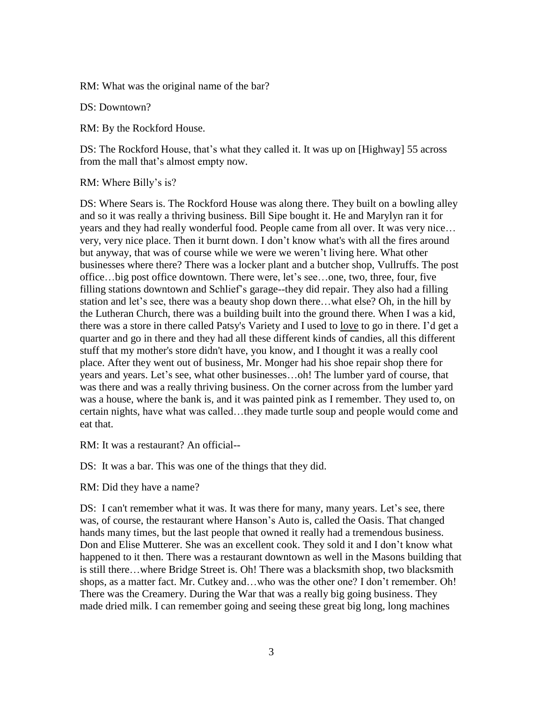RM: What was the original name of the bar?

DS: Downtown?

RM: By the Rockford House.

DS: The Rockford House, that's what they called it. It was up on [Highway] 55 across from the mall that's almost empty now.

RM: Where Billy's is?

DS: Where Sears is. The Rockford House was along there. They built on a bowling alley and so it was really a thriving business. Bill Sipe bought it. He and Marylyn ran it for years and they had really wonderful food. People came from all over. It was very nice… very, very nice place. Then it burnt down. I don't know what's with all the fires around but anyway, that was of course while we were we weren't living here. What other businesses where there? There was a locker plant and a butcher shop, Vullruffs. The post office…big post office downtown. There were, let's see…one, two, three, four, five filling stations downtown and Schlief's garage--they did repair. They also had a filling station and let's see, there was a beauty shop down there…what else? Oh, in the hill by the Lutheran Church, there was a building built into the ground there. When I was a kid, there was a store in there called Patsy's Variety and I used to love to go in there. I'd get a quarter and go in there and they had all these different kinds of candies, all this different stuff that my mother's store didn't have, you know, and I thought it was a really cool place. After they went out of business, Mr. Monger had his shoe repair shop there for years and years. Let's see, what other businesses…oh! The lumber yard of course, that was there and was a really thriving business. On the corner across from the lumber yard was a house, where the bank is, and it was painted pink as I remember. They used to, on certain nights, have what was called…they made turtle soup and people would come and eat that.

RM: It was a restaurant? An official--

DS: It was a bar. This was one of the things that they did.

RM: Did they have a name?

DS: I can't remember what it was. It was there for many, many years. Let's see, there was, of course, the restaurant where Hanson's Auto is, called the Oasis. That changed hands many times, but the last people that owned it really had a tremendous business. Don and Elise Mutterer. She was an excellent cook. They sold it and I don't know what happened to it then. There was a restaurant downtown as well in the Masons building that is still there…where Bridge Street is. Oh! There was a blacksmith shop, two blacksmith shops, as a matter fact. Mr. Cutkey and…who was the other one? I don't remember. Oh! There was the Creamery. During the War that was a really big going business. They made dried milk. I can remember going and seeing these great big long, long machines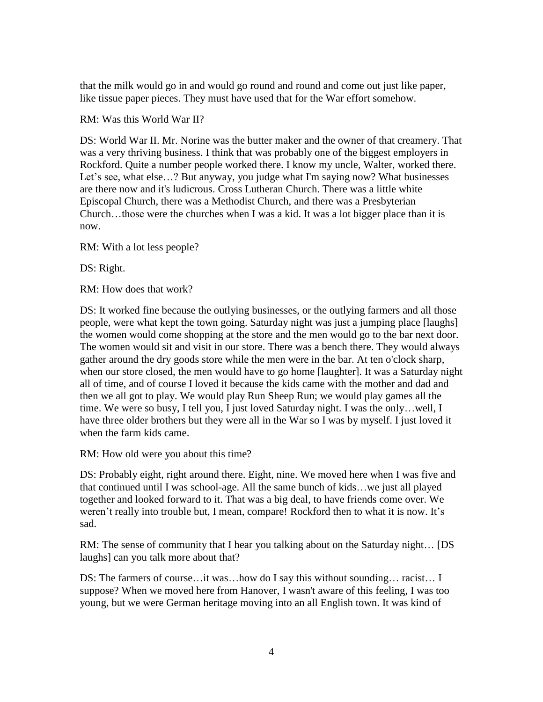that the milk would go in and would go round and round and come out just like paper, like tissue paper pieces. They must have used that for the War effort somehow.

RM: Was this World War II?

DS: World War II. Mr. Norine was the butter maker and the owner of that creamery. That was a very thriving business. I think that was probably one of the biggest employers in Rockford. Quite a number people worked there. I know my uncle, Walter, worked there. Let's see, what else...? But anyway, you judge what I'm saying now? What businesses are there now and it's ludicrous. Cross Lutheran Church. There was a little white Episcopal Church, there was a Methodist Church, and there was a Presbyterian Church…those were the churches when I was a kid. It was a lot bigger place than it is now.

RM: With a lot less people?

DS: Right.

RM: How does that work?

DS: It worked fine because the outlying businesses, or the outlying farmers and all those people, were what kept the town going. Saturday night was just a jumping place [laughs] the women would come shopping at the store and the men would go to the bar next door. The women would sit and visit in our store. There was a bench there. They would always gather around the dry goods store while the men were in the bar. At ten o'clock sharp, when our store closed, the men would have to go home [laughter]. It was a Saturday night all of time, and of course I loved it because the kids came with the mother and dad and then we all got to play. We would play Run Sheep Run; we would play games all the time. We were so busy, I tell you, I just loved Saturday night. I was the only…well, I have three older brothers but they were all in the War so I was by myself. I just loved it when the farm kids came.

RM: How old were you about this time?

DS: Probably eight, right around there. Eight, nine. We moved here when I was five and that continued until I was school-age. All the same bunch of kids…we just all played together and looked forward to it. That was a big deal, to have friends come over. We weren't really into trouble but, I mean, compare! Rockford then to what it is now. It's sad.

RM: The sense of community that I hear you talking about on the Saturday night… [DS laughs] can you talk more about that?

DS: The farmers of course…it was…how do I say this without sounding… racist… I suppose? When we moved here from Hanover, I wasn't aware of this feeling, I was too young, but we were German heritage moving into an all English town. It was kind of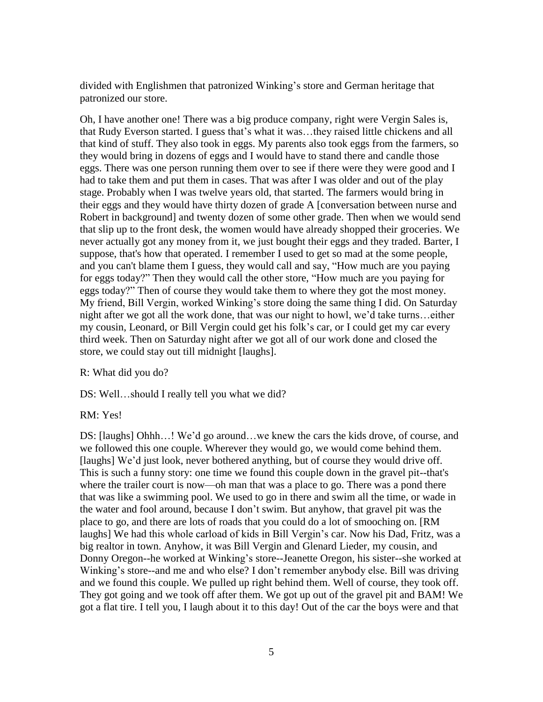divided with Englishmen that patronized Winking's store and German heritage that patronized our store.

Oh, I have another one! There was a big produce company, right were Vergin Sales is, that Rudy Everson started. I guess that's what it was…they raised little chickens and all that kind of stuff. They also took in eggs. My parents also took eggs from the farmers, so they would bring in dozens of eggs and I would have to stand there and candle those eggs. There was one person running them over to see if there were they were good and I had to take them and put them in cases. That was after I was older and out of the play stage. Probably when I was twelve years old, that started. The farmers would bring in their eggs and they would have thirty dozen of grade A [conversation between nurse and Robert in background] and twenty dozen of some other grade. Then when we would send that slip up to the front desk, the women would have already shopped their groceries. We never actually got any money from it, we just bought their eggs and they traded. Barter, I suppose, that's how that operated. I remember I used to get so mad at the some people, and you can't blame them I guess, they would call and say, "How much are you paying for eggs today?" Then they would call the other store, "How much are you paying for eggs today?" Then of course they would take them to where they got the most money. My friend, Bill Vergin, worked Winking's store doing the same thing I did. On Saturday night after we got all the work done, that was our night to howl, we'd take turns…either my cousin, Leonard, or Bill Vergin could get his folk's car, or I could get my car every third week. Then on Saturday night after we got all of our work done and closed the store, we could stay out till midnight [laughs].

R: What did you do?

DS: Well…should I really tell you what we did?

RM: Yes!

DS: [laughs] Ohhh…! We'd go around…we knew the cars the kids drove, of course, and we followed this one couple. Wherever they would go, we would come behind them. [laughs] We'd just look, never bothered anything, but of course they would drive off. This is such a funny story: one time we found this couple down in the gravel pit--that's where the trailer court is now—oh man that was a place to go. There was a pond there that was like a swimming pool. We used to go in there and swim all the time, or wade in the water and fool around, because I don't swim. But anyhow, that gravel pit was the place to go, and there are lots of roads that you could do a lot of smooching on. [RM laughs] We had this whole carload of kids in Bill Vergin's car. Now his Dad, Fritz, was a big realtor in town. Anyhow, it was Bill Vergin and Glenard Lieder, my cousin, and Donny Oregon--he worked at Winking's store--Jeanette Oregon, his sister--she worked at Winking's store--and me and who else? I don't remember anybody else. Bill was driving and we found this couple. We pulled up right behind them. Well of course, they took off. They got going and we took off after them. We got up out of the gravel pit and BAM! We got a flat tire. I tell you, I laugh about it to this day! Out of the car the boys were and that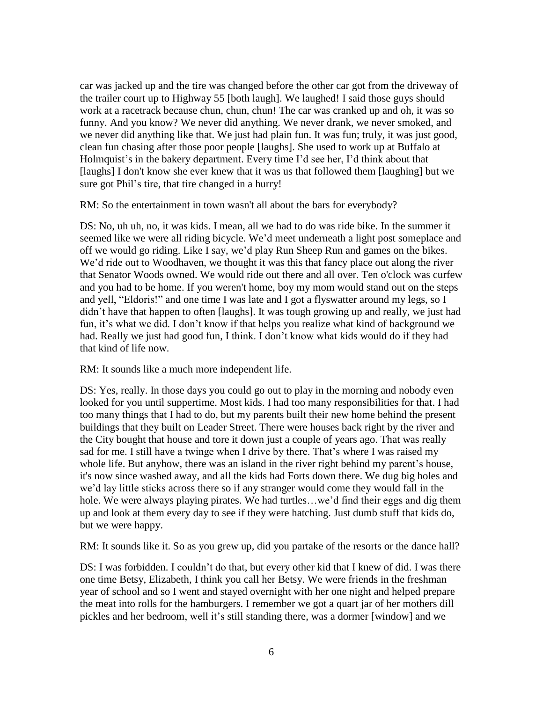car was jacked up and the tire was changed before the other car got from the driveway of the trailer court up to Highway 55 [both laugh]. We laughed! I said those guys should work at a racetrack because chun, chun, chun! The car was cranked up and oh, it was so funny. And you know? We never did anything. We never drank, we never smoked, and we never did anything like that. We just had plain fun. It was fun; truly, it was just good, clean fun chasing after those poor people [laughs]. She used to work up at Buffalo at Holmquist's in the bakery department. Every time I'd see her, I'd think about that [laughs] I don't know she ever knew that it was us that followed them [laughing] but we sure got Phil's tire, that tire changed in a hurry!

RM: So the entertainment in town wasn't all about the bars for everybody?

DS: No, uh uh, no, it was kids. I mean, all we had to do was ride bike. In the summer it seemed like we were all riding bicycle. We'd meet underneath a light post someplace and off we would go riding. Like I say, we'd play Run Sheep Run and games on the bikes. We'd ride out to Woodhaven, we thought it was this that fancy place out along the river that Senator Woods owned. We would ride out there and all over. Ten o'clock was curfew and you had to be home. If you weren't home, boy my mom would stand out on the steps and yell, "Eldoris!" and one time I was late and I got a flyswatter around my legs, so I didn't have that happen to often [laughs]. It was tough growing up and really, we just had fun, it's what we did. I don't know if that helps you realize what kind of background we had. Really we just had good fun, I think. I don't know what kids would do if they had that kind of life now.

RM: It sounds like a much more independent life.

DS: Yes, really. In those days you could go out to play in the morning and nobody even looked for you until suppertime. Most kids. I had too many responsibilities for that. I had too many things that I had to do, but my parents built their new home behind the present buildings that they built on Leader Street. There were houses back right by the river and the City bought that house and tore it down just a couple of years ago. That was really sad for me. I still have a twinge when I drive by there. That's where I was raised my whole life. But anyhow, there was an island in the river right behind my parent's house, it's now since washed away, and all the kids had Forts down there. We dug big holes and we'd lay little sticks across there so if any stranger would come they would fall in the hole. We were always playing pirates. We had turtles...we'd find their eggs and dig them up and look at them every day to see if they were hatching. Just dumb stuff that kids do, but we were happy.

RM: It sounds like it. So as you grew up, did you partake of the resorts or the dance hall?

DS: I was forbidden. I couldn't do that, but every other kid that I knew of did. I was there one time Betsy, Elizabeth, I think you call her Betsy. We were friends in the freshman year of school and so I went and stayed overnight with her one night and helped prepare the meat into rolls for the hamburgers. I remember we got a quart jar of her mothers dill pickles and her bedroom, well it's still standing there, was a dormer [window] and we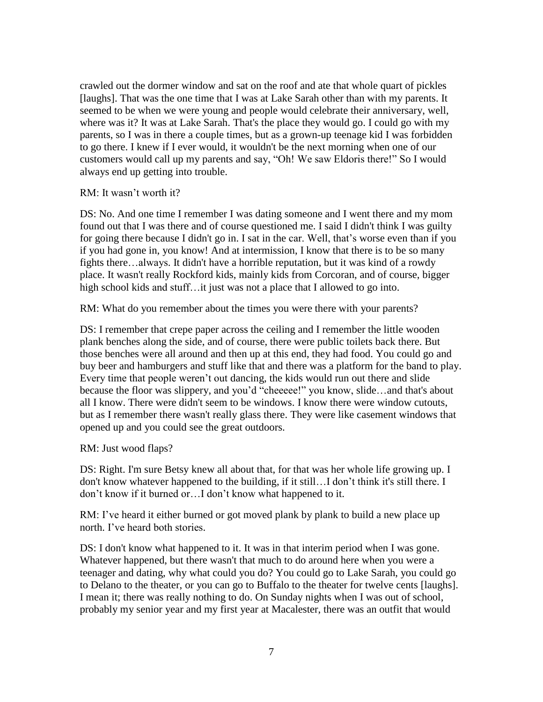crawled out the dormer window and sat on the roof and ate that whole quart of pickles [laughs]. That was the one time that I was at Lake Sarah other than with my parents. It seemed to be when we were young and people would celebrate their anniversary, well, where was it? It was at Lake Sarah. That's the place they would go. I could go with my parents, so I was in there a couple times, but as a grown-up teenage kid I was forbidden to go there. I knew if I ever would, it wouldn't be the next morning when one of our customers would call up my parents and say, "Oh! We saw Eldoris there!" So I would always end up getting into trouble.

#### RM: It wasn't worth it?

DS: No. And one time I remember I was dating someone and I went there and my mom found out that I was there and of course questioned me. I said I didn't think I was guilty for going there because I didn't go in. I sat in the car. Well, that's worse even than if you if you had gone in, you know! And at intermission, I know that there is to be so many fights there…always. It didn't have a horrible reputation, but it was kind of a rowdy place. It wasn't really Rockford kids, mainly kids from Corcoran, and of course, bigger high school kids and stuff...it just was not a place that I allowed to go into.

RM: What do you remember about the times you were there with your parents?

DS: I remember that crepe paper across the ceiling and I remember the little wooden plank benches along the side, and of course, there were public toilets back there. But those benches were all around and then up at this end, they had food. You could go and buy beer and hamburgers and stuff like that and there was a platform for the band to play. Every time that people weren't out dancing, the kids would run out there and slide because the floor was slippery, and you'd "cheeeee!" you know, slide…and that's about all I know. There were didn't seem to be windows. I know there were window cutouts, but as I remember there wasn't really glass there. They were like casement windows that opened up and you could see the great outdoors.

RM: Just wood flaps?

DS: Right. I'm sure Betsy knew all about that, for that was her whole life growing up. I don't know whatever happened to the building, if it still…I don't think it's still there. I don't know if it burned or…I don't know what happened to it.

RM: I've heard it either burned or got moved plank by plank to build a new place up north. I've heard both stories.

DS: I don't know what happened to it. It was in that interim period when I was gone. Whatever happened, but there wasn't that much to do around here when you were a teenager and dating, why what could you do? You could go to Lake Sarah, you could go to Delano to the theater, or you can go to Buffalo to the theater for twelve cents [laughs]. I mean it; there was really nothing to do. On Sunday nights when I was out of school, probably my senior year and my first year at Macalester, there was an outfit that would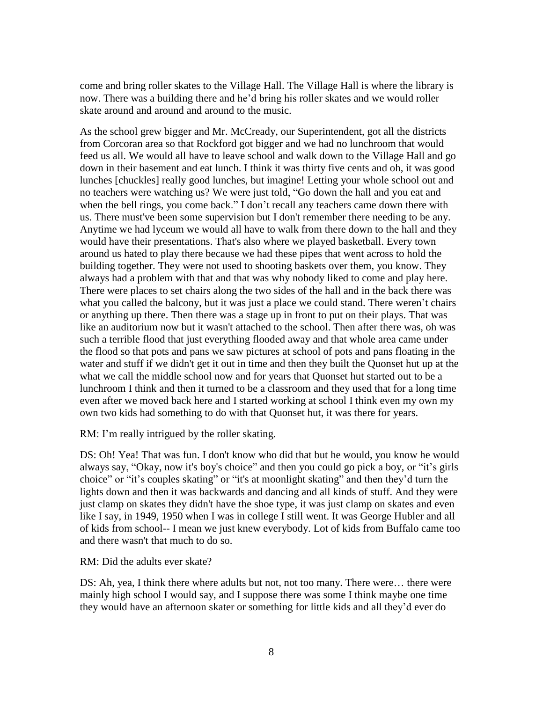come and bring roller skates to the Village Hall. The Village Hall is where the library is now. There was a building there and he'd bring his roller skates and we would roller skate around and around and around to the music.

As the school grew bigger and Mr. McCready, our Superintendent, got all the districts from Corcoran area so that Rockford got bigger and we had no lunchroom that would feed us all. We would all have to leave school and walk down to the Village Hall and go down in their basement and eat lunch. I think it was thirty five cents and oh, it was good lunches [chuckles] really good lunches, but imagine! Letting your whole school out and no teachers were watching us? We were just told, "Go down the hall and you eat and when the bell rings, you come back." I don't recall any teachers came down there with us. There must've been some supervision but I don't remember there needing to be any. Anytime we had lyceum we would all have to walk from there down to the hall and they would have their presentations. That's also where we played basketball. Every town around us hated to play there because we had these pipes that went across to hold the building together. They were not used to shooting baskets over them, you know. They always had a problem with that and that was why nobody liked to come and play here. There were places to set chairs along the two sides of the hall and in the back there was what you called the balcony, but it was just a place we could stand. There weren't chairs or anything up there. Then there was a stage up in front to put on their plays. That was like an auditorium now but it wasn't attached to the school. Then after there was, oh was such a terrible flood that just everything flooded away and that whole area came under the flood so that pots and pans we saw pictures at school of pots and pans floating in the water and stuff if we didn't get it out in time and then they built the Quonset hut up at the what we call the middle school now and for years that Quonset hut started out to be a lunchroom I think and then it turned to be a classroom and they used that for a long time even after we moved back here and I started working at school I think even my own my own two kids had something to do with that Quonset hut, it was there for years.

RM: I'm really intrigued by the roller skating.

DS: Oh! Yea! That was fun. I don't know who did that but he would, you know he would always say, "Okay, now it's boy's choice" and then you could go pick a boy, or "it's girls choice" or "it's couples skating" or "it's at moonlight skating" and then they'd turn the lights down and then it was backwards and dancing and all kinds of stuff. And they were just clamp on skates they didn't have the shoe type, it was just clamp on skates and even like I say, in 1949, 1950 when I was in college I still went. It was George Hubler and all of kids from school-- I mean we just knew everybody. Lot of kids from Buffalo came too and there wasn't that much to do so.

RM: Did the adults ever skate?

DS: Ah, yea, I think there where adults but not, not too many. There were… there were mainly high school I would say, and I suppose there was some I think maybe one time they would have an afternoon skater or something for little kids and all they'd ever do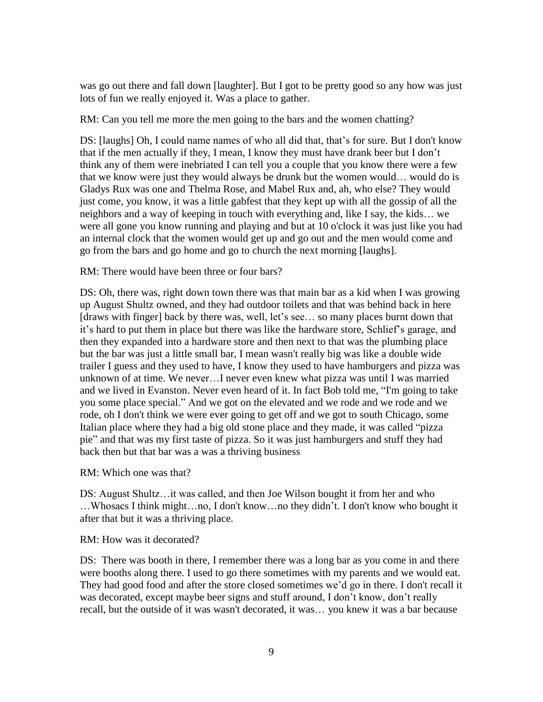was go out there and fall down [laughter]. But I got to be pretty good so any how was just lots of fun we really enjoyed it. Was a place to gather.

RM: Can you tell me more the men going to the bars and the women chatting?

DS: [laughs] Oh, I could name names of who all did that, that's for sure. But I don't know that if the men actually if they, I mean, I know they must have drank beer but I don't think any of them were inebriated I can tell you a couple that you know there were a few that we know were just they would always be drunk but the women would… would do is Gladys Rux was one and Thelma Rose, and Mabel Rux and, ah, who else? They would just come, you know, it was a little gabfest that they kept up with all the gossip of all the neighbors and a way of keeping in touch with everything and, like I say, the kids… we were all gone you know running and playing and but at 10 o'clock it was just like you had an internal clock that the women would get up and go out and the men would come and go from the bars and go home and go to church the next morning [laughs].

RM: There would have been three or four bars?

DS: Oh, there was, right down town there was that main bar as a kid when I was growing up August Shultz owned, and they had outdoor toilets and that was behind back in here [draws with finger] back by there was, well, let's see... so many places burnt down that it's hard to put them in place but there was like the hardware store, Schlief's garage, and then they expanded into a hardware store and then next to that was the plumbing place but the bar was just a little small bar, I mean wasn't really big was like a double wide trailer I guess and they used to have, I know they used to have hamburgers and pizza was unknown of at time. We never…I never even knew what pizza was until I was married and we lived in Evanston. Never even heard of it. In fact Bob told me, "I'm going to take you some place special." And we got on the elevated and we rode and we rode and we rode, oh I don't think we were ever going to get off and we got to south Chicago, some Italian place where they had a big old stone place and they made, it was called "pizza pie" and that was my first taste of pizza. So it was just hamburgers and stuff they had back then but that bar was a was a thriving business

RM: Which one was that?

DS: August Shultz…it was called, and then Joe Wilson bought it from her and who …Whosacs I think might…no, I don't know…no they didn't. I don't know who bought it after that but it was a thriving place.

RM: How was it decorated?

DS: There was booth in there, I remember there was a long bar as you come in and there were booths along there. I used to go there sometimes with my parents and we would eat. They had good food and after the store closed sometimes we'd go in there. I don't recall it was decorated, except maybe beer signs and stuff around, I don't know, don't really recall, but the outside of it was wasn't decorated, it was… you knew it was a bar because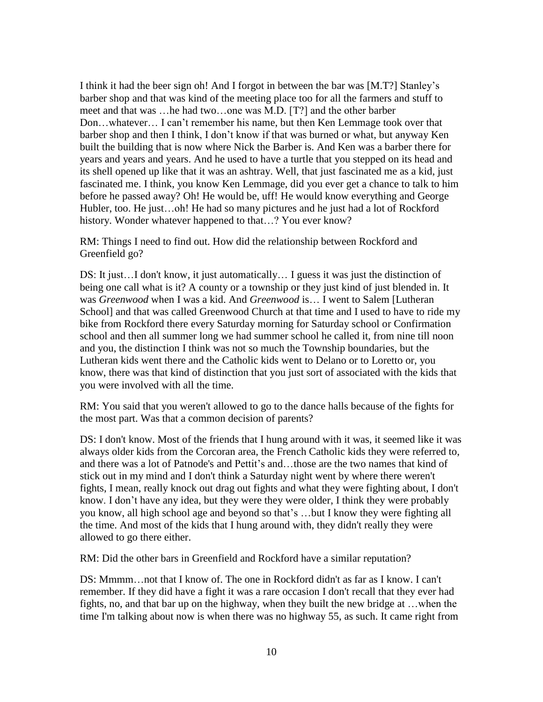I think it had the beer sign oh! And I forgot in between the bar was [M.T?] Stanley's barber shop and that was kind of the meeting place too for all the farmers and stuff to meet and that was …he had two…one was M.D. [T?] and the other barber Don…whatever… I can't remember his name, but then Ken Lemmage took over that barber shop and then I think, I don't know if that was burned or what, but anyway Ken built the building that is now where Nick the Barber is. And Ken was a barber there for years and years and years. And he used to have a turtle that you stepped on its head and its shell opened up like that it was an ashtray. Well, that just fascinated me as a kid, just fascinated me. I think, you know Ken Lemmage, did you ever get a chance to talk to him before he passed away? Oh! He would be, uff! He would know everything and George Hubler, too. He just...oh! He had so many pictures and he just had a lot of Rockford history. Wonder whatever happened to that…? You ever know?

RM: Things I need to find out. How did the relationship between Rockford and Greenfield go?

DS: It just…I don't know, it just automatically… I guess it was just the distinction of being one call what is it? A county or a township or they just kind of just blended in. It was *Greenwood* when I was a kid. And *Greenwood* is… I went to Salem [Lutheran School] and that was called Greenwood Church at that time and I used to have to ride my bike from Rockford there every Saturday morning for Saturday school or Confirmation school and then all summer long we had summer school he called it, from nine till noon and you, the distinction I think was not so much the Township boundaries, but the Lutheran kids went there and the Catholic kids went to Delano or to Loretto or, you know, there was that kind of distinction that you just sort of associated with the kids that you were involved with all the time.

RM: You said that you weren't allowed to go to the dance halls because of the fights for the most part. Was that a common decision of parents?

DS: I don't know. Most of the friends that I hung around with it was, it seemed like it was always older kids from the Corcoran area, the French Catholic kids they were referred to, and there was a lot of Patnode's and Pettit's and…those are the two names that kind of stick out in my mind and I don't think a Saturday night went by where there weren't fights, I mean, really knock out drag out fights and what they were fighting about, I don't know. I don't have any idea, but they were they were older, I think they were probably you know, all high school age and beyond so that's …but I know they were fighting all the time. And most of the kids that I hung around with, they didn't really they were allowed to go there either.

RM: Did the other bars in Greenfield and Rockford have a similar reputation?

DS: Mmmm…not that I know of. The one in Rockford didn't as far as I know. I can't remember. If they did have a fight it was a rare occasion I don't recall that they ever had fights, no, and that bar up on the highway, when they built the new bridge at …when the time I'm talking about now is when there was no highway 55, as such. It came right from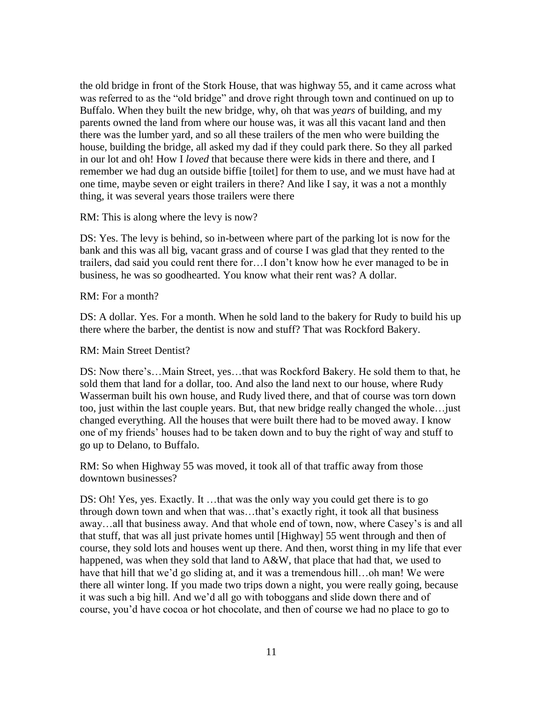the old bridge in front of the Stork House, that was highway 55, and it came across what was referred to as the "old bridge" and drove right through town and continued on up to Buffalo. When they built the new bridge, why, oh that was *years* of building, and my parents owned the land from where our house was, it was all this vacant land and then there was the lumber yard, and so all these trailers of the men who were building the house, building the bridge, all asked my dad if they could park there. So they all parked in our lot and oh! How I *loved* that because there were kids in there and there, and I remember we had dug an outside biffie [toilet] for them to use, and we must have had at one time, maybe seven or eight trailers in there? And like I say, it was a not a monthly thing, it was several years those trailers were there

RM: This is along where the levy is now?

DS: Yes. The levy is behind, so in-between where part of the parking lot is now for the bank and this was all big, vacant grass and of course I was glad that they rented to the trailers, dad said you could rent there for…I don't know how he ever managed to be in business, he was so goodhearted. You know what their rent was? A dollar.

RM: For a month?

DS: A dollar. Yes. For a month. When he sold land to the bakery for Rudy to build his up there where the barber, the dentist is now and stuff? That was Rockford Bakery.

RM: Main Street Dentist?

DS: Now there's…Main Street, yes…that was Rockford Bakery. He sold them to that, he sold them that land for a dollar, too. And also the land next to our house, where Rudy Wasserman built his own house, and Rudy lived there, and that of course was torn down too, just within the last couple years. But, that new bridge really changed the whole…just changed everything. All the houses that were built there had to be moved away. I know one of my friends' houses had to be taken down and to buy the right of way and stuff to go up to Delano, to Buffalo.

RM: So when Highway 55 was moved, it took all of that traffic away from those downtown businesses?

DS: Oh! Yes, yes. Exactly. It ...that was the only way you could get there is to go through down town and when that was…that's exactly right, it took all that business away…all that business away. And that whole end of town, now, where Casey's is and all that stuff, that was all just private homes until [Highway] 55 went through and then of course, they sold lots and houses went up there. And then, worst thing in my life that ever happened, was when they sold that land to A&W, that place that had that, we used to have that hill that we'd go sliding at, and it was a tremendous hill...oh man! We were there all winter long. If you made two trips down a night, you were really going, because it was such a big hill. And we'd all go with toboggans and slide down there and of course, you'd have cocoa or hot chocolate, and then of course we had no place to go to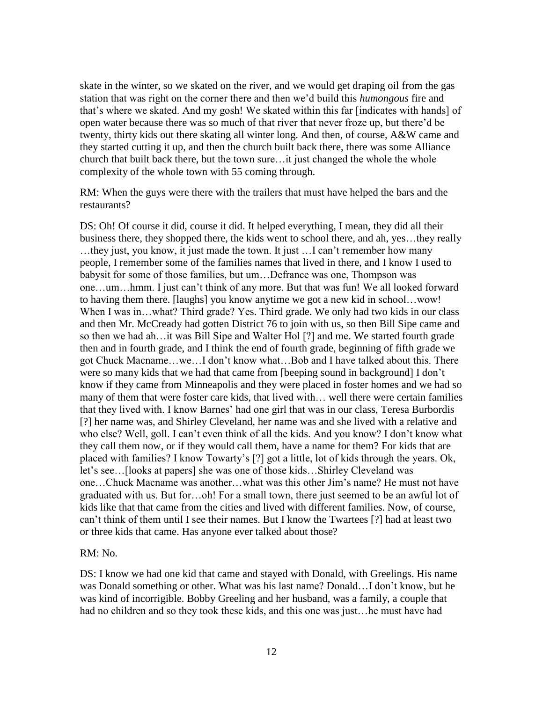skate in the winter, so we skated on the river, and we would get draping oil from the gas station that was right on the corner there and then we'd build this *humongous* fire and that's where we skated. And my gosh! We skated within this far [indicates with hands] of open water because there was so much of that river that never froze up, but there'd be twenty, thirty kids out there skating all winter long. And then, of course, A&W came and they started cutting it up, and then the church built back there, there was some Alliance church that built back there, but the town sure…it just changed the whole the whole complexity of the whole town with 55 coming through.

RM: When the guys were there with the trailers that must have helped the bars and the restaurants?

DS: Oh! Of course it did, course it did. It helped everything, I mean, they did all their business there, they shopped there, the kids went to school there, and ah, yes…they really …they just, you know, it just made the town. It just …I can't remember how many people, I remember some of the families names that lived in there, and I know I used to babysit for some of those families, but um…Defrance was one, Thompson was one…um…hmm. I just can't think of any more. But that was fun! We all looked forward to having them there. [laughs] you know anytime we got a new kid in school…wow! When I was in...what? Third grade? Yes. Third grade. We only had two kids in our class and then Mr. McCready had gotten District 76 to join with us, so then Bill Sipe came and so then we had ah…it was Bill Sipe and Walter Hol [?] and me. We started fourth grade then and in fourth grade, and I think the end of fourth grade, beginning of fifth grade we got Chuck Macname…we…I don't know what…Bob and I have talked about this. There were so many kids that we had that came from [beeping sound in background] I don't know if they came from Minneapolis and they were placed in foster homes and we had so many of them that were foster care kids, that lived with… well there were certain families that they lived with. I know Barnes' had one girl that was in our class, Teresa Burbordis [?] her name was, and Shirley Cleveland, her name was and she lived with a relative and who else? Well, goll. I can't even think of all the kids. And you know? I don't know what they call them now, or if they would call them, have a name for them? For kids that are placed with families? I know Towarty's [?] got a little, lot of kids through the years. Ok, let's see…[looks at papers] she was one of those kids…Shirley Cleveland was one…Chuck Macname was another…what was this other Jim's name? He must not have graduated with us. But for…oh! For a small town, there just seemed to be an awful lot of kids like that that came from the cities and lived with different families. Now, of course, can't think of them until I see their names. But I know the Twartees [?] had at least two or three kids that came. Has anyone ever talked about those?

#### RM: No.

DS: I know we had one kid that came and stayed with Donald, with Greelings. His name was Donald something or other. What was his last name? Donald…I don't know, but he was kind of incorrigible. Bobby Greeling and her husband, was a family, a couple that had no children and so they took these kids, and this one was just…he must have had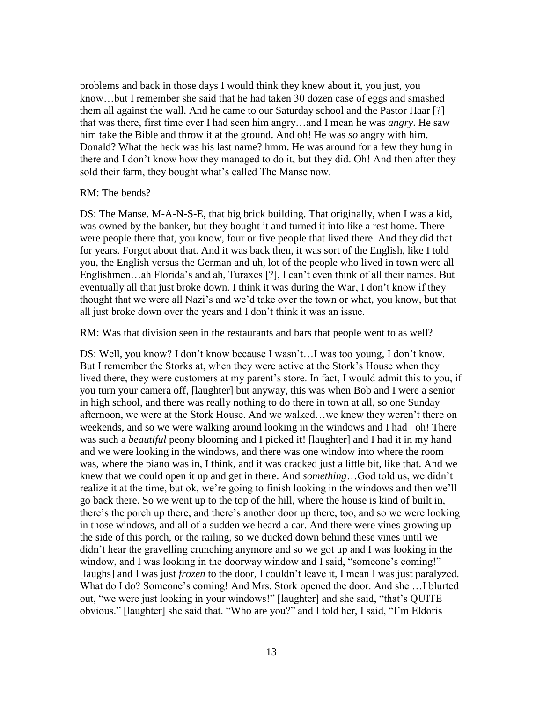problems and back in those days I would think they knew about it, you just, you know…but I remember she said that he had taken 30 dozen case of eggs and smashed them all against the wall. And he came to our Saturday school and the Pastor Haar [?] that was there, first time ever I had seen him angry…and I mean he was *angry*. He saw him take the Bible and throw it at the ground. And oh! He was *so* angry with him. Donald? What the heck was his last name? hmm. He was around for a few they hung in there and I don't know how they managed to do it, but they did. Oh! And then after they sold their farm, they bought what's called The Manse now.

#### RM: The bends?

DS: The Manse. M-A-N-S-E, that big brick building. That originally, when I was a kid, was owned by the banker, but they bought it and turned it into like a rest home. There were people there that, you know, four or five people that lived there. And they did that for years. Forgot about that. And it was back then, it was sort of the English, like I told you, the English versus the German and uh, lot of the people who lived in town were all Englishmen…ah Florida's and ah, Turaxes [?], I can't even think of all their names. But eventually all that just broke down. I think it was during the War, I don't know if they thought that we were all Nazi's and we'd take over the town or what, you know, but that all just broke down over the years and I don't think it was an issue.

RM: Was that division seen in the restaurants and bars that people went to as well?

DS: Well, you know? I don't know because I wasn't…I was too young, I don't know. But I remember the Storks at, when they were active at the Stork's House when they lived there, they were customers at my parent's store. In fact, I would admit this to you, if you turn your camera off, [laughter] but anyway, this was when Bob and I were a senior in high school, and there was really nothing to do there in town at all, so one Sunday afternoon, we were at the Stork House. And we walked…we knew they weren't there on weekends, and so we were walking around looking in the windows and I had –oh! There was such a *beautiful* peony blooming and I picked it! [laughter] and I had it in my hand and we were looking in the windows, and there was one window into where the room was, where the piano was in, I think, and it was cracked just a little bit, like that. And we knew that we could open it up and get in there. And *something*…God told us, we didn't realize it at the time, but ok, we're going to finish looking in the windows and then we'll go back there. So we went up to the top of the hill, where the house is kind of built in, there's the porch up there, and there's another door up there, too, and so we were looking in those windows, and all of a sudden we heard a car. And there were vines growing up the side of this porch, or the railing, so we ducked down behind these vines until we didn't hear the gravelling crunching anymore and so we got up and I was looking in the window, and I was looking in the doorway window and I said, "someone's coming!" [laughs] and I was just *frozen* to the door, I couldn't leave it, I mean I was just paralyzed. What do I do? Someone's coming! And Mrs. Stork opened the door. And she …I blurted out, "we were just looking in your windows!" [laughter] and she said, "that's QUITE obvious." [laughter] she said that. "Who are you?" and I told her, I said, "I'm Eldoris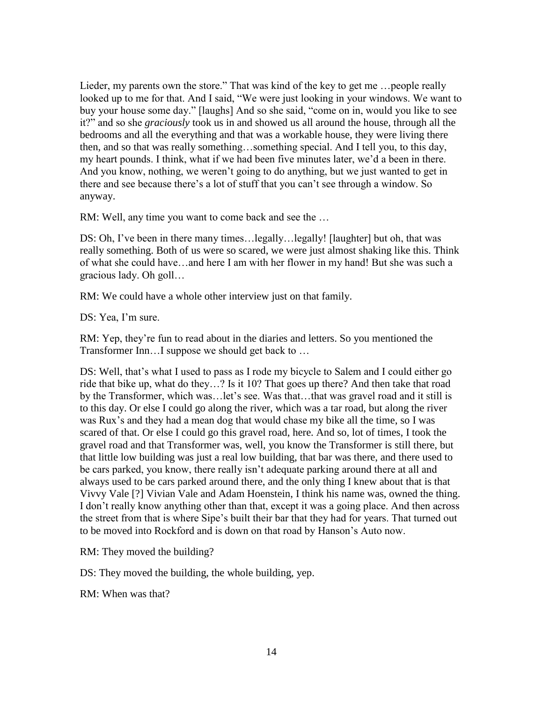Lieder, my parents own the store." That was kind of the key to get me …people really looked up to me for that. And I said, "We were just looking in your windows. We want to buy your house some day." [laughs] And so she said, "come on in, would you like to see it?" and so she *graciously* took us in and showed us all around the house, through all the bedrooms and all the everything and that was a workable house, they were living there then, and so that was really something…something special. And I tell you, to this day, my heart pounds. I think, what if we had been five minutes later, we'd a been in there. And you know, nothing, we weren't going to do anything, but we just wanted to get in there and see because there's a lot of stuff that you can't see through a window. So anyway.

RM: Well, any time you want to come back and see the …

DS: Oh, I've been in there many times…legally…legally! [laughter] but oh, that was really something. Both of us were so scared, we were just almost shaking like this. Think of what she could have…and here I am with her flower in my hand! But she was such a gracious lady. Oh goll…

RM: We could have a whole other interview just on that family.

DS: Yea, I'm sure.

RM: Yep, they're fun to read about in the diaries and letters. So you mentioned the Transformer Inn…I suppose we should get back to …

DS: Well, that's what I used to pass as I rode my bicycle to Salem and I could either go ride that bike up, what do they…? Is it 10? That goes up there? And then take that road by the Transformer, which was…let's see. Was that…that was gravel road and it still is to this day. Or else I could go along the river, which was a tar road, but along the river was Rux's and they had a mean dog that would chase my bike all the time, so I was scared of that. Or else I could go this gravel road, here. And so, lot of times, I took the gravel road and that Transformer was, well, you know the Transformer is still there, but that little low building was just a real low building, that bar was there, and there used to be cars parked, you know, there really isn't adequate parking around there at all and always used to be cars parked around there, and the only thing I knew about that is that Vivvy Vale [?] Vivian Vale and Adam Hoenstein, I think his name was, owned the thing. I don't really know anything other than that, except it was a going place. And then across the street from that is where Sipe's built their bar that they had for years. That turned out to be moved into Rockford and is down on that road by Hanson's Auto now.

RM: They moved the building?

DS: They moved the building, the whole building, yep.

RM: When was that?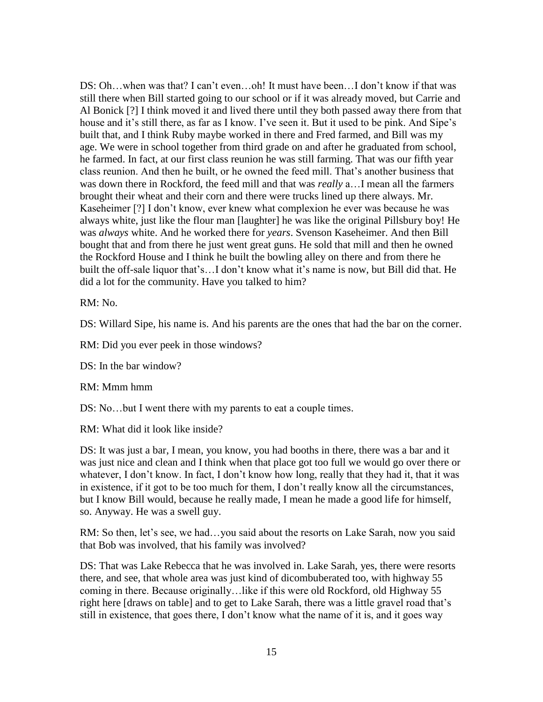DS: Oh…when was that? I can't even…oh! It must have been…I don't know if that was still there when Bill started going to our school or if it was already moved, but Carrie and Al Bonick [?] I think moved it and lived there until they both passed away there from that house and it's still there, as far as I know. I've seen it. But it used to be pink. And Sipe's built that, and I think Ruby maybe worked in there and Fred farmed, and Bill was my age. We were in school together from third grade on and after he graduated from school, he farmed. In fact, at our first class reunion he was still farming. That was our fifth year class reunion. And then he built, or he owned the feed mill. That's another business that was down there in Rockford, the feed mill and that was *really* a…I mean all the farmers brought their wheat and their corn and there were trucks lined up there always. Mr. Kaseheimer [?] I don't know, ever knew what complexion he ever was because he was always white, just like the flour man [laughter] he was like the original Pillsbury boy! He was *always* white. And he worked there for *years*. Svenson Kaseheimer. And then Bill bought that and from there he just went great guns. He sold that mill and then he owned the Rockford House and I think he built the bowling alley on there and from there he built the off-sale liquor that's…I don't know what it's name is now, but Bill did that. He did a lot for the community. Have you talked to him?

RM: No.

DS: Willard Sipe, his name is. And his parents are the ones that had the bar on the corner.

RM: Did you ever peek in those windows?

DS: In the bar window?

RM: Mmm hmm

DS: No...but I went there with my parents to eat a couple times.

RM: What did it look like inside?

DS: It was just a bar, I mean, you know, you had booths in there, there was a bar and it was just nice and clean and I think when that place got too full we would go over there or whatever, I don't know. In fact, I don't know how long, really that they had it, that it was in existence, if it got to be too much for them, I don't really know all the circumstances, but I know Bill would, because he really made, I mean he made a good life for himself, so. Anyway. He was a swell guy.

RM: So then, let's see, we had…you said about the resorts on Lake Sarah, now you said that Bob was involved, that his family was involved?

DS: That was Lake Rebecca that he was involved in. Lake Sarah, yes, there were resorts there, and see, that whole area was just kind of dicombuberated too, with highway 55 coming in there. Because originally…like if this were old Rockford, old Highway 55 right here [draws on table] and to get to Lake Sarah, there was a little gravel road that's still in existence, that goes there, I don't know what the name of it is, and it goes way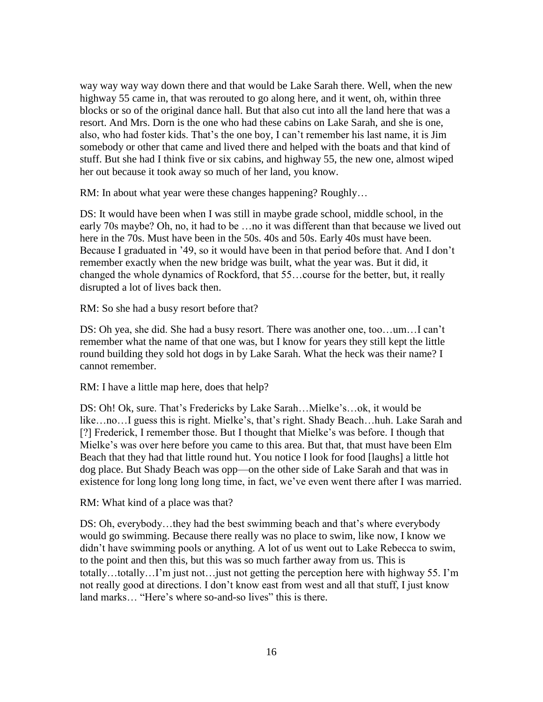way way way way down there and that would be Lake Sarah there. Well, when the new highway 55 came in, that was rerouted to go along here, and it went, oh, within three blocks or so of the original dance hall. But that also cut into all the land here that was a resort. And Mrs. Dorn is the one who had these cabins on Lake Sarah, and she is one, also, who had foster kids. That's the one boy, I can't remember his last name, it is Jim somebody or other that came and lived there and helped with the boats and that kind of stuff. But she had I think five or six cabins, and highway 55, the new one, almost wiped her out because it took away so much of her land, you know.

RM: In about what year were these changes happening? Roughly…

DS: It would have been when I was still in maybe grade school, middle school, in the early 70s maybe? Oh, no, it had to be …no it was different than that because we lived out here in the 70s. Must have been in the 50s. 40s and 50s. Early 40s must have been. Because I graduated in '49, so it would have been in that period before that. And I don't remember exactly when the new bridge was built, what the year was. But it did, it changed the whole dynamics of Rockford, that 55…course for the better, but, it really disrupted a lot of lives back then.

RM: So she had a busy resort before that?

DS: Oh yea, she did. She had a busy resort. There was another one, too…um…I can't remember what the name of that one was, but I know for years they still kept the little round building they sold hot dogs in by Lake Sarah. What the heck was their name? I cannot remember.

RM: I have a little map here, does that help?

DS: Oh! Ok, sure. That's Fredericks by Lake Sarah…Mielke's…ok, it would be like…no…I guess this is right. Mielke's, that's right. Shady Beach…huh. Lake Sarah and [?] Frederick, I remember those. But I thought that Mielke's was before. I though that Mielke's was over here before you came to this area. But that, that must have been Elm Beach that they had that little round hut. You notice I look for food [laughs] a little hot dog place. But Shady Beach was opp—on the other side of Lake Sarah and that was in existence for long long long long time, in fact, we've even went there after I was married.

RM: What kind of a place was that?

DS: Oh, everybody…they had the best swimming beach and that's where everybody would go swimming. Because there really was no place to swim, like now, I know we didn't have swimming pools or anything. A lot of us went out to Lake Rebecca to swim, to the point and then this, but this was so much farther away from us. This is totally…totally…I'm just not…just not getting the perception here with highway 55. I'm not really good at directions. I don't know east from west and all that stuff, I just know land marks… "Here's where so-and-so lives" this is there.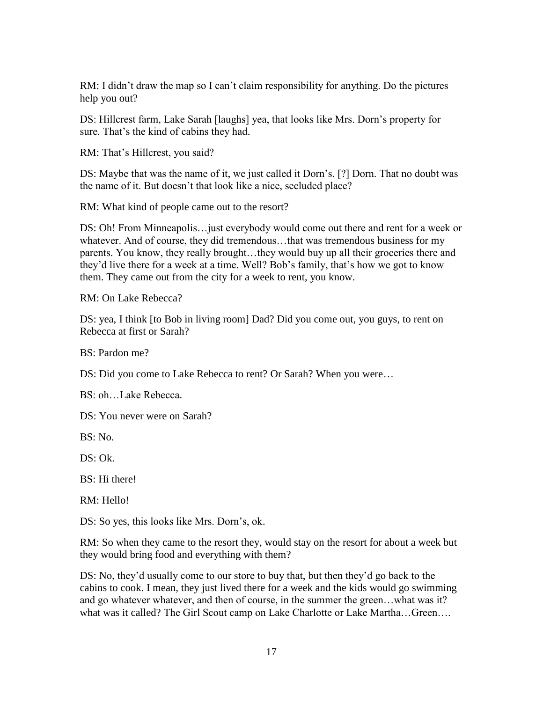RM: I didn't draw the map so I can't claim responsibility for anything. Do the pictures help you out?

DS: Hillcrest farm, Lake Sarah [laughs] yea, that looks like Mrs. Dorn's property for sure. That's the kind of cabins they had.

RM: That's Hillcrest, you said?

DS: Maybe that was the name of it, we just called it Dorn's. [?] Dorn. That no doubt was the name of it. But doesn't that look like a nice, secluded place?

RM: What kind of people came out to the resort?

DS: Oh! From Minneapolis…just everybody would come out there and rent for a week or whatever. And of course, they did tremendous…that was tremendous business for my parents. You know, they really brought…they would buy up all their groceries there and they'd live there for a week at a time. Well? Bob's family, that's how we got to know them. They came out from the city for a week to rent, you know.

RM: On Lake Rebecca?

DS: yea, I think [to Bob in living room] Dad? Did you come out, you guys, to rent on Rebecca at first or Sarah?

BS: Pardon me?

DS: Did you come to Lake Rebecca to rent? Or Sarah? When you were…

BS: oh…Lake Rebecca.

DS: You never were on Sarah?

BS: No.

DS: Ok.

BS: Hi there!

RM: Hello!

DS: So yes, this looks like Mrs. Dorn's, ok.

RM: So when they came to the resort they, would stay on the resort for about a week but they would bring food and everything with them?

DS: No, they'd usually come to our store to buy that, but then they'd go back to the cabins to cook. I mean, they just lived there for a week and the kids would go swimming and go whatever whatever, and then of course, in the summer the green…what was it? what was it called? The Girl Scout camp on Lake Charlotte or Lake Martha…Green….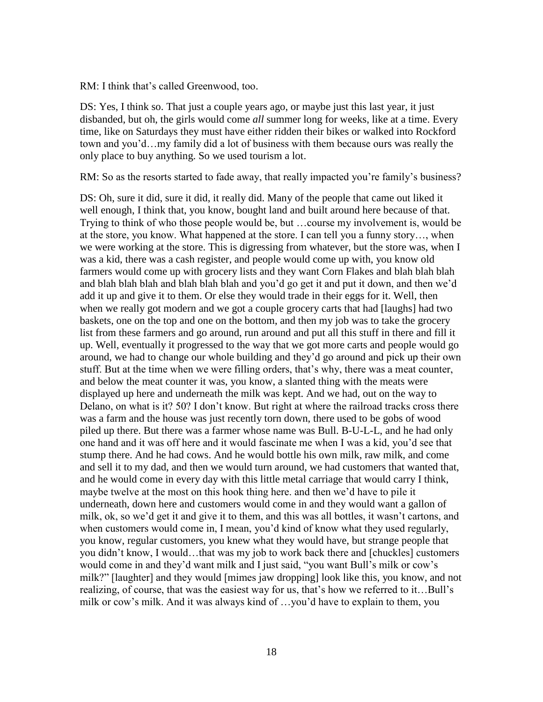RM: I think that's called Greenwood, too.

DS: Yes, I think so. That just a couple years ago, or maybe just this last year, it just disbanded, but oh, the girls would come *all* summer long for weeks, like at a time. Every time, like on Saturdays they must have either ridden their bikes or walked into Rockford town and you'd…my family did a lot of business with them because ours was really the only place to buy anything. So we used tourism a lot.

RM: So as the resorts started to fade away, that really impacted you're family's business?

DS: Oh, sure it did, sure it did, it really did. Many of the people that came out liked it well enough, I think that, you know, bought land and built around here because of that. Trying to think of who those people would be, but …course my involvement is, would be at the store, you know. What happened at the store. I can tell you a funny story…, when we were working at the store. This is digressing from whatever, but the store was, when I was a kid, there was a cash register, and people would come up with, you know old farmers would come up with grocery lists and they want Corn Flakes and blah blah blah and blah blah blah and blah blah blah and you'd go get it and put it down, and then we'd add it up and give it to them. Or else they would trade in their eggs for it. Well, then when we really got modern and we got a couple grocery carts that had [laughs] had two baskets, one on the top and one on the bottom, and then my job was to take the grocery list from these farmers and go around, run around and put all this stuff in there and fill it up. Well, eventually it progressed to the way that we got more carts and people would go around, we had to change our whole building and they'd go around and pick up their own stuff. But at the time when we were filling orders, that's why, there was a meat counter, and below the meat counter it was, you know, a slanted thing with the meats were displayed up here and underneath the milk was kept. And we had, out on the way to Delano, on what is it? 50? I don't know. But right at where the railroad tracks cross there was a farm and the house was just recently torn down, there used to be gobs of wood piled up there. But there was a farmer whose name was Bull. B-U-L-L, and he had only one hand and it was off here and it would fascinate me when I was a kid, you'd see that stump there. And he had cows. And he would bottle his own milk, raw milk, and come and sell it to my dad, and then we would turn around, we had customers that wanted that, and he would come in every day with this little metal carriage that would carry I think, maybe twelve at the most on this hook thing here. and then we'd have to pile it underneath, down here and customers would come in and they would want a gallon of milk, ok, so we'd get it and give it to them, and this was all bottles, it wasn't cartons, and when customers would come in, I mean, you'd kind of know what they used regularly, you know, regular customers, you knew what they would have, but strange people that you didn't know, I would…that was my job to work back there and [chuckles] customers would come in and they'd want milk and I just said, "you want Bull's milk or cow's milk?" [laughter] and they would [mimes jaw dropping] look like this, you know, and not realizing, of course, that was the easiest way for us, that's how we referred to it…Bull's milk or cow's milk. And it was always kind of …you'd have to explain to them, you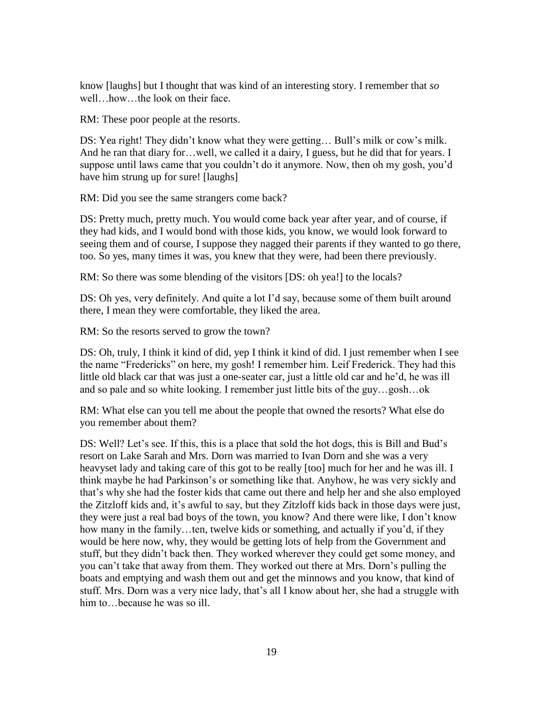know [laughs] but I thought that was kind of an interesting story. I remember that *so* well…how…the look on their face.

RM: These poor people at the resorts.

DS: Yea right! They didn't know what they were getting... Bull's milk or cow's milk. And he ran that diary for…well, we called it a dairy, I guess, but he did that for years. I suppose until laws came that you couldn't do it anymore. Now, then oh my gosh, you'd have him strung up for sure! [laughs]

RM: Did you see the same strangers come back?

DS: Pretty much, pretty much. You would come back year after year, and of course, if they had kids, and I would bond with those kids, you know, we would look forward to seeing them and of course, I suppose they nagged their parents if they wanted to go there, too. So yes, many times it was, you knew that they were, had been there previously.

RM: So there was some blending of the visitors [DS: oh yea!] to the locals?

DS: Oh yes, very definitely. And quite a lot I'd say, because some of them built around there, I mean they were comfortable, they liked the area.

RM: So the resorts served to grow the town?

DS: Oh, truly, I think it kind of did, yep I think it kind of did. I just remember when I see the name "Fredericks" on here, my gosh! I remember him. Leif Frederick. They had this little old black car that was just a one-seater car, just a little old car and he'd, he was ill and so pale and so white looking. I remember just little bits of the guy…gosh…ok

RM: What else can you tell me about the people that owned the resorts? What else do you remember about them?

DS: Well? Let's see. If this, this is a place that sold the hot dogs, this is Bill and Bud's resort on Lake Sarah and Mrs. Dorn was married to Ivan Dorn and she was a very heavyset lady and taking care of this got to be really [too] much for her and he was ill. I think maybe he had Parkinson's or something like that. Anyhow, he was very sickly and that's why she had the foster kids that came out there and help her and she also employed the Zitzloff kids and, it's awful to say, but they Zitzloff kids back in those days were just, they were just a real bad boys of the town, you know? And there were like, I don't know how many in the family…ten, twelve kids or something, and actually if you'd, if they would be here now, why, they would be getting lots of help from the Government and stuff, but they didn't back then. They worked wherever they could get some money, and you can't take that away from them. They worked out there at Mrs. Dorn's pulling the boats and emptying and wash them out and get the minnows and you know, that kind of stuff. Mrs. Dorn was a very nice lady, that's all I know about her, she had a struggle with him to...because he was so ill.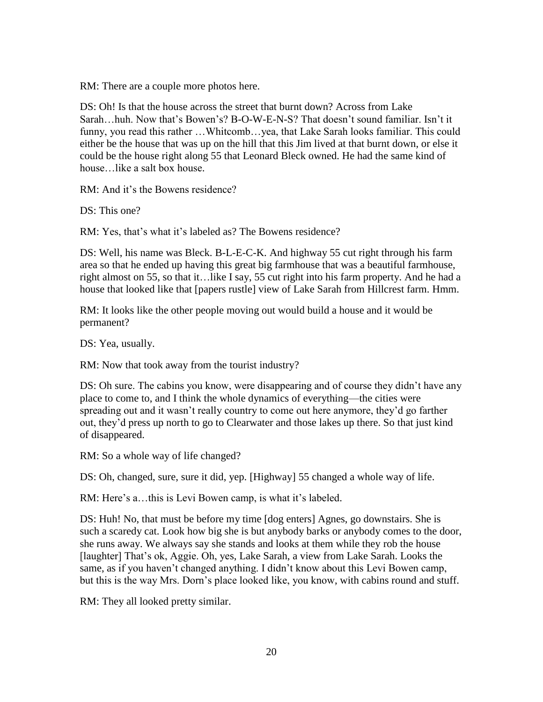RM: There are a couple more photos here.

DS: Oh! Is that the house across the street that burnt down? Across from Lake Sarah…huh. Now that's Bowen's? B-O-W-E-N-S? That doesn't sound familiar. Isn't it funny, you read this rather …Whitcomb…yea, that Lake Sarah looks familiar. This could either be the house that was up on the hill that this Jim lived at that burnt down, or else it could be the house right along 55 that Leonard Bleck owned. He had the same kind of house like a salt box house.

RM: And it's the Bowens residence?

DS: This one?

RM: Yes, that's what it's labeled as? The Bowens residence?

DS: Well, his name was Bleck. B-L-E-C-K. And highway 55 cut right through his farm area so that he ended up having this great big farmhouse that was a beautiful farmhouse, right almost on 55, so that it…like I say, 55 cut right into his farm property. And he had a house that looked like that [papers rustle] view of Lake Sarah from Hillcrest farm. Hmm.

RM: It looks like the other people moving out would build a house and it would be permanent?

DS: Yea, usually.

RM: Now that took away from the tourist industry?

DS: Oh sure. The cabins you know, were disappearing and of course they didn't have any place to come to, and I think the whole dynamics of everything—the cities were spreading out and it wasn't really country to come out here anymore, they'd go farther out, they'd press up north to go to Clearwater and those lakes up there. So that just kind of disappeared.

RM: So a whole way of life changed?

DS: Oh, changed, sure, sure it did, yep. [Highway] 55 changed a whole way of life.

RM: Here's a…this is Levi Bowen camp, is what it's labeled.

DS: Huh! No, that must be before my time [dog enters] Agnes, go downstairs. She is such a scaredy cat. Look how big she is but anybody barks or anybody comes to the door, she runs away. We always say she stands and looks at them while they rob the house [laughter] That's ok, Aggie. Oh, yes, Lake Sarah, a view from Lake Sarah. Looks the same, as if you haven't changed anything. I didn't know about this Levi Bowen camp, but this is the way Mrs. Dorn's place looked like, you know, with cabins round and stuff.

RM: They all looked pretty similar.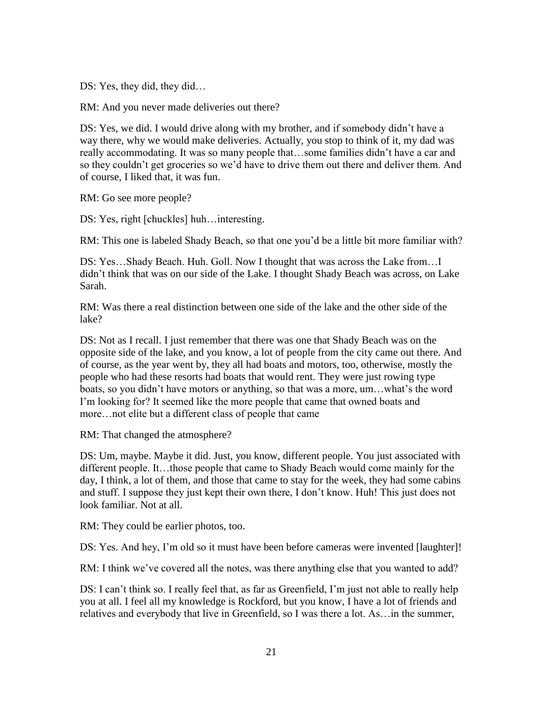DS: Yes, they did, they did…

RM: And you never made deliveries out there?

DS: Yes, we did. I would drive along with my brother, and if somebody didn't have a way there, why we would make deliveries. Actually, you stop to think of it, my dad was really accommodating. It was so many people that…some families didn't have a car and so they couldn't get groceries so we'd have to drive them out there and deliver them. And of course, I liked that, it was fun.

RM: Go see more people?

DS: Yes, right [chuckles] huh…interesting.

RM: This one is labeled Shady Beach, so that one you'd be a little bit more familiar with?

DS: Yes…Shady Beach. Huh. Goll. Now I thought that was across the Lake from…I didn't think that was on our side of the Lake. I thought Shady Beach was across, on Lake Sarah.

RM: Was there a real distinction between one side of the lake and the other side of the lake?

DS: Not as I recall. I just remember that there was one that Shady Beach was on the opposite side of the lake, and you know, a lot of people from the city came out there. And of course, as the year went by, they all had boats and motors, too, otherwise, mostly the people who had these resorts had boats that would rent. They were just rowing type boats, so you didn't have motors or anything, so that was a more, um…what's the word I'm looking for? It seemed like the more people that came that owned boats and more…not elite but a different class of people that came

RM: That changed the atmosphere?

DS: Um, maybe. Maybe it did. Just, you know, different people. You just associated with different people. It…those people that came to Shady Beach would come mainly for the day, I think, a lot of them, and those that came to stay for the week, they had some cabins and stuff. I suppose they just kept their own there, I don't know. Huh! This just does not look familiar. Not at all.

RM: They could be earlier photos, too.

DS: Yes. And hey, I'm old so it must have been before cameras were invented [laughter]!

RM: I think we've covered all the notes, was there anything else that you wanted to add?

DS: I can't think so. I really feel that, as far as Greenfield, I'm just not able to really help you at all. I feel all my knowledge is Rockford, but you know, I have a lot of friends and relatives and everybody that live in Greenfield, so I was there a lot. As…in the summer,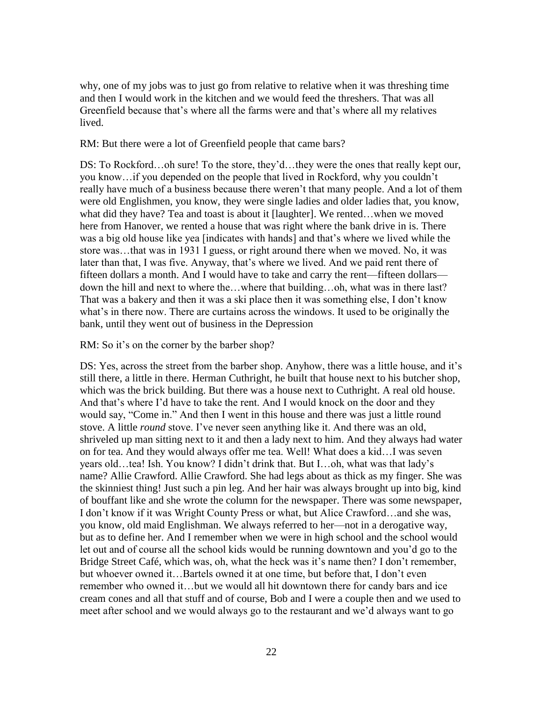why, one of my jobs was to just go from relative to relative when it was threshing time and then I would work in the kitchen and we would feed the threshers. That was all Greenfield because that's where all the farms were and that's where all my relatives lived.

RM: But there were a lot of Greenfield people that came bars?

DS: To Rockford...oh sure! To the store, they'd...they were the ones that really kept our, you know…if you depended on the people that lived in Rockford, why you couldn't really have much of a business because there weren't that many people. And a lot of them were old Englishmen, you know, they were single ladies and older ladies that, you know, what did they have? Tea and toast is about it [laughter]. We rented…when we moved here from Hanover, we rented a house that was right where the bank drive in is. There was a big old house like yea [indicates with hands] and that's where we lived while the store was…that was in 1931 I guess, or right around there when we moved. No, it was later than that, I was five. Anyway, that's where we lived. And we paid rent there of fifteen dollars a month. And I would have to take and carry the rent—fifteen dollars down the hill and next to where the…where that building…oh, what was in there last? That was a bakery and then it was a ski place then it was something else, I don't know what's in there now. There are curtains across the windows. It used to be originally the bank, until they went out of business in the Depression

RM: So it's on the corner by the barber shop?

DS: Yes, across the street from the barber shop. Anyhow, there was a little house, and it's still there, a little in there. Herman Cuthright, he built that house next to his butcher shop, which was the brick building. But there was a house next to Cuthright. A real old house. And that's where I'd have to take the rent. And I would knock on the door and they would say, "Come in." And then I went in this house and there was just a little round stove. A little *round* stove. I've never seen anything like it. And there was an old, shriveled up man sitting next to it and then a lady next to him. And they always had water on for tea. And they would always offer me tea. Well! What does a kid…I was seven years old…tea! Ish. You know? I didn't drink that. But I…oh, what was that lady's name? Allie Crawford. Allie Crawford. She had legs about as thick as my finger. She was the skinniest thing! Just such a pin leg. And her hair was always brought up into big, kind of bouffant like and she wrote the column for the newspaper. There was some newspaper, I don't know if it was Wright County Press or what, but Alice Crawford…and she was, you know, old maid Englishman. We always referred to her—not in a derogative way, but as to define her. And I remember when we were in high school and the school would let out and of course all the school kids would be running downtown and you'd go to the Bridge Street Café, which was, oh, what the heck was it's name then? I don't remember, but whoever owned it…Bartels owned it at one time, but before that, I don't even remember who owned it…but we would all hit downtown there for candy bars and ice cream cones and all that stuff and of course, Bob and I were a couple then and we used to meet after school and we would always go to the restaurant and we'd always want to go